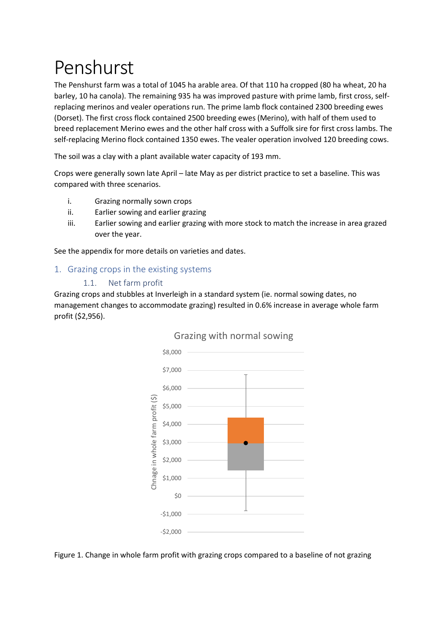# Penshurst

The Penshurst farm was a total of 1045 ha arable area. Of that 110 ha cropped (80 ha wheat, 20 ha barley, 10 ha canola). The remaining 935 ha was improved pasture with prime lamb, first cross, selfreplacing merinos and vealer operations run. The prime lamb flock contained 2300 breeding ewes (Dorset). The first cross flock contained 2500 breeding ewes (Merino), with half of them used to breed replacement Merino ewes and the other half cross with a Suffolk sire for first cross lambs. The self-replacing Merino flock contained 1350 ewes. The vealer operation involved 120 breeding cows.

The soil was a clay with a plant available water capacity of 193 mm.

Crops were generally sown late April – late May as per district practice to set a baseline. This was compared with three scenarios.

- i. Grazing normally sown crops
- ii. Earlier sowing and earlier grazing
- iii. Earlier sowing and earlier grazing with more stock to match the increase in area grazed over the year.

See the appendix for more details on varieties and dates.

# 1. Grazing crops in the existing systems

### 1.1. Net farm profit

Grazing crops and stubbles at Inverleigh in a standard system (ie. normal sowing dates, no management changes to accommodate grazing) resulted in 0.6% increase in average whole farm profit (\$2,956).



### Grazing with normal sowing

Figure 1. Change in whole farm profit with grazing crops compared to a baseline of not grazing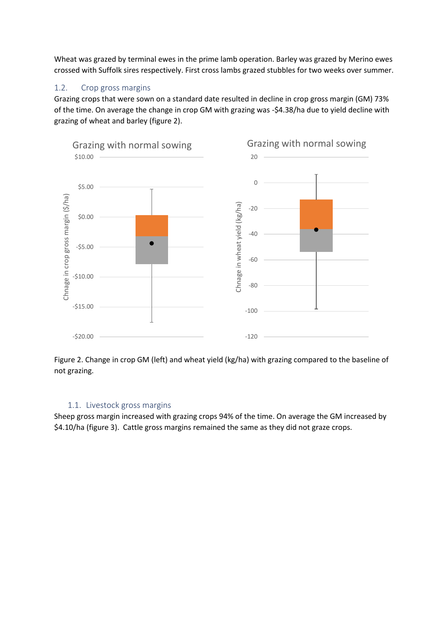Wheat was grazed by terminal ewes in the prime lamb operation. Barley was grazed by Merino ewes crossed with Suffolk sires respectively. First cross lambs grazed stubbles for two weeks over summer.

# 1.2. Crop gross margins

Grazing crops that were sown on a standard date resulted in decline in crop gross margin (GM) 73% of the time. On average the change in crop GM with grazing was -\$4.38/ha due to yield decline with grazing of wheat and barley (figure 2).



Figure 2. Change in crop GM (left) and wheat yield (kg/ha) with grazing compared to the baseline of not grazing.

### 1.1. Livestock gross margins

Sheep gross margin increased with grazing crops 94% of the time. On average the GM increased by \$4.10/ha (figure 3). Cattle gross margins remained the same as they did not graze crops.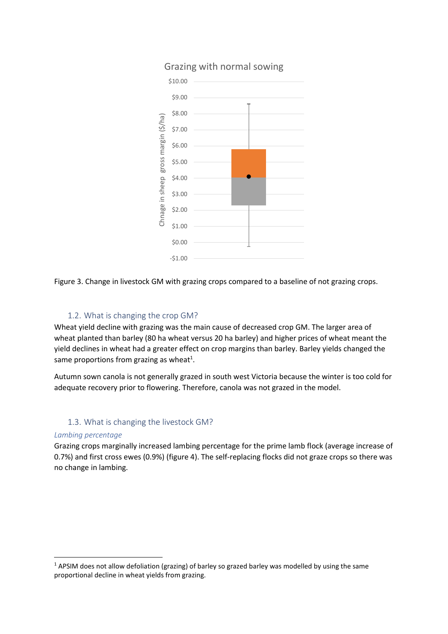

# Grazing with normal sowing



### 1.2. What is changing the crop GM?

Wheat yield decline with grazing was the main cause of decreased crop GM. The larger area of wheat planted than barley (80 ha wheat versus 20 ha barley) and higher prices of wheat meant the yield declines in wheat had a greater effect on crop margins than barley. Barley yields changed the same proportions from grazing as wheat<sup>1</sup>.

Autumn sown canola is not generally grazed in south west Victoria because the winter is too cold for adequate recovery prior to flowering. Therefore, canola was not grazed in the model.

### 1.3. What is changing the livestock GM?

### *Lambing percentage*

**.** 

Grazing crops marginally increased lambing percentage for the prime lamb flock (average increase of 0.7%) and first cross ewes (0.9%) (figure 4). The self-replacing flocks did not graze crops so there was no change in lambing.

<sup>&</sup>lt;sup>1</sup> APSIM does not allow defoliation (grazing) of barley so grazed barley was modelled by using the same proportional decline in wheat yields from grazing.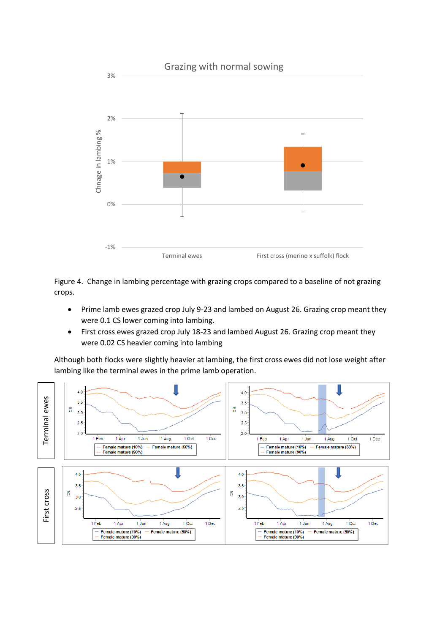

Figure 4. Change in lambing percentage with grazing crops compared to a baseline of not grazing crops.

- Prime lamb ewes grazed crop July 9-23 and lambed on August 26. Grazing crop meant they were 0.1 CS lower coming into lambing.
- First cross ewes grazed crop July 18-23 and lambed August 26. Grazing crop meant they were 0.02 CS heavier coming into lambing

Although both flocks were slightly heavier at lambing, the first cross ewes did not lose weight after lambing like the terminal ewes in the prime lamb operation.

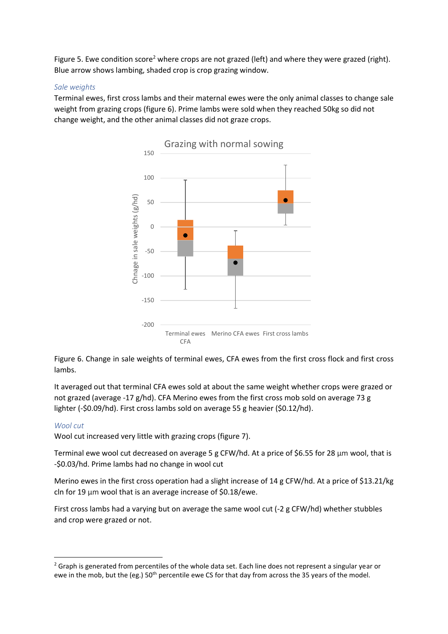Figure 5. Ewe condition score<sup>2</sup> where crops are not grazed (left) and where they were grazed (right). Blue arrow shows lambing, shaded crop is crop grazing window.

### *Sale weights*

Terminal ewes, first cross lambs and their maternal ewes were the only animal classes to change sale weight from grazing crops (figure 6). Prime lambs were sold when they reached 50kg so did not change weight, and the other animal classes did not graze crops.



Figure 6. Change in sale weights of terminal ewes, CFA ewes from the first cross flock and first cross lambs.

It averaged out that terminal CFA ewes sold at about the same weight whether crops were grazed or not grazed (average -17 g/hd). CFA Merino ewes from the first cross mob sold on average 73 g lighter (-\$0.09/hd). First cross lambs sold on average 55 g heavier (\$0.12/hd).

### *Wool cut*

**.** 

Wool cut increased very little with grazing crops (figure 7).

Terminal ewe wool cut decreased on average 5 g CFW/hd. At a price of \$6.55 for 28 μm wool, that is -\$0.03/hd. Prime lambs had no change in wool cut

Merino ewes in the first cross operation had a slight increase of 14 g CFW/hd. At a price of \$13.21/kg cln for 19 μm wool that is an average increase of \$0.18/ewe.

First cross lambs had a varying but on average the same wool cut (-2 g CFW/hd) whether stubbles and crop were grazed or not.

<sup>&</sup>lt;sup>2</sup> Graph is generated from percentiles of the whole data set. Each line does not represent a singular year or ewe in the mob, but the (eg.) 50<sup>th</sup> percentile ewe CS for that day from across the 35 years of the model.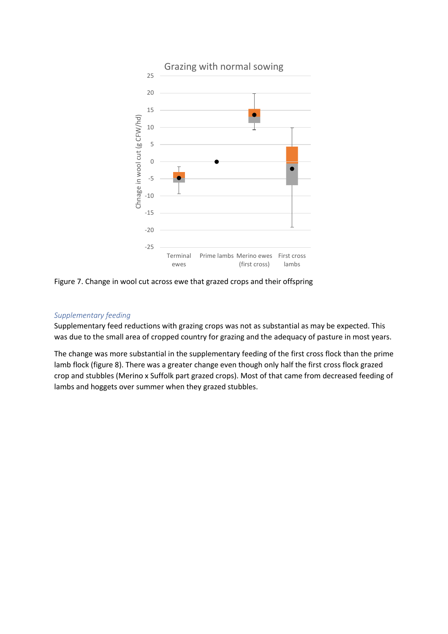

Figure 7. Change in wool cut across ewe that grazed crops and their offspring

### *Supplementary feeding*

Supplementary feed reductions with grazing crops was not as substantial as may be expected. This was due to the small area of cropped country for grazing and the adequacy of pasture in most years.

The change was more substantial in the supplementary feeding of the first cross flock than the prime lamb flock (figure 8). There was a greater change even though only half the first cross flock grazed crop and stubbles (Merino x Suffolk part grazed crops). Most of that came from decreased feeding of lambs and hoggets over summer when they grazed stubbles.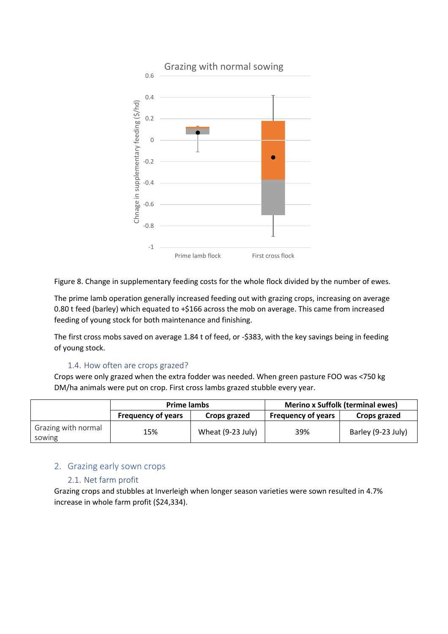

Figure 8. Change in supplementary feeding costs for the whole flock divided by the number of ewes.

The prime lamb operation generally increased feeding out with grazing crops, increasing on average 0.80 t feed (barley) which equated to +\$166 across the mob on average. This came from increased feeding of young stock for both maintenance and finishing.

The first cross mobs saved on average 1.84 t of feed, or -\$383, with the key savings being in feeding of young stock.

### 1.4. How often are crops grazed?

Crops were only grazed when the extra fodder was needed. When green pasture FOO was <750 kg DM/ha animals were put on crop. First cross lambs grazed stubble every year.

|                               | <b>Prime lambs</b>        |                   | <b>Merino x Suffolk (terminal ewes)</b> |                    |
|-------------------------------|---------------------------|-------------------|-----------------------------------------|--------------------|
|                               | <b>Frequency of years</b> | Crops grazed      | <b>Frequency of years</b>               | Crops grazed       |
| Grazing with normal<br>sowing | 15%                       | Wheat (9-23 July) | 39%                                     | Barley (9-23 July) |

# 2. Grazing early sown crops

### 2.1. Net farm profit

Grazing crops and stubbles at Inverleigh when longer season varieties were sown resulted in 4.7% increase in whole farm profit (\$24,334).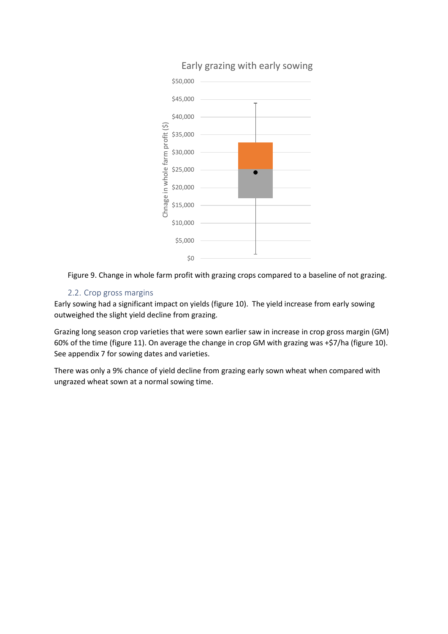

# Early grazing with early sowing



# 2.2. Crop gross margins

Early sowing had a significant impact on yields (figure 10). The yield increase from early sowing outweighed the slight yield decline from grazing.

Grazing long season crop varieties that were sown earlier saw in increase in crop gross margin (GM) 60% of the time (figure 11). On average the change in crop GM with grazing was +\$7/ha (figure 10). See appendix 7 for sowing dates and varieties.

There was only a 9% chance of yield decline from grazing early sown wheat when compared with ungrazed wheat sown at a normal sowing time.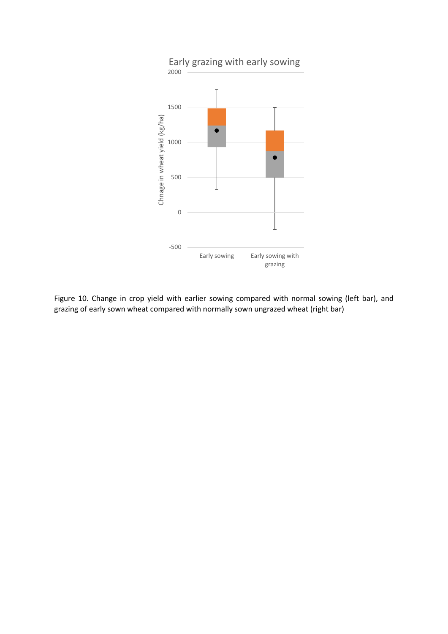

Figure 10. Change in crop yield with earlier sowing compared with normal sowing (left bar), and grazing of early sown wheat compared with normally sown ungrazed wheat (right bar)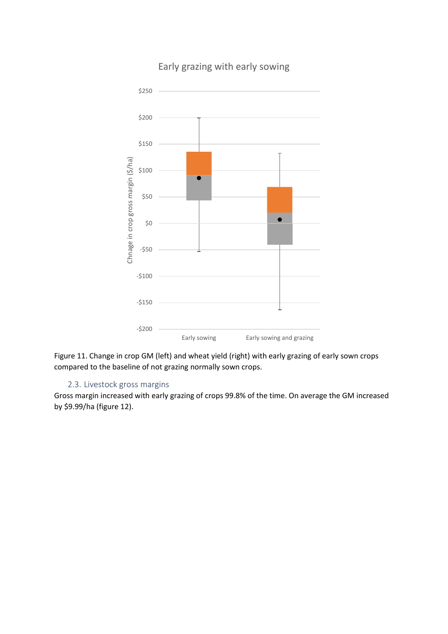

# Early grazing with early sowing

Figure 11. Change in crop GM (left) and wheat yield (right) with early grazing of early sown crops compared to the baseline of not grazing normally sown crops.

### 2.3. Livestock gross margins

Gross margin increased with early grazing of crops 99.8% of the time. On average the GM increased by \$9.99/ha (figure 12).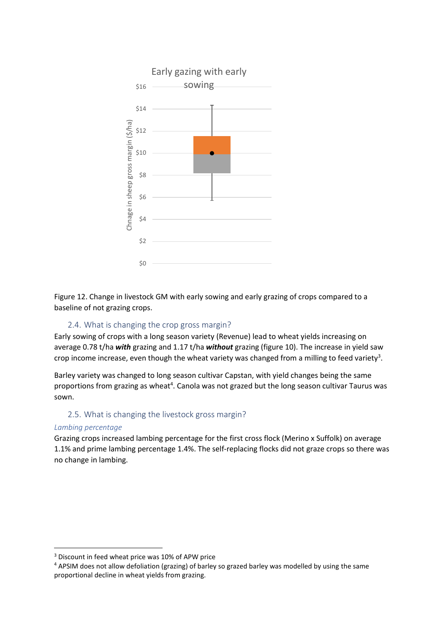

Figure 12. Change in livestock GM with early sowing and early grazing of crops compared to a baseline of not grazing crops.

### 2.4. What is changing the crop gross margin?

Early sowing of crops with a long season variety (Revenue) lead to wheat yields increasing on average 0.78 t/ha *with* grazing and 1.17 t/ha *without* grazing (figure 10). The increase in yield saw crop income increase, even though the wheat variety was changed from a milling to feed variety<sup>3</sup>.

Barley variety was changed to long season cultivar Capstan, with yield changes being the same proportions from grazing as wheat<sup>4</sup>. Canola was not grazed but the long season cultivar Taurus was sown.

### 2.5. What is changing the livestock gross margin?

### *Lambing percentage*

**.** 

Grazing crops increased lambing percentage for the first cross flock (Merino x Suffolk) on average 1.1% and prime lambing percentage 1.4%. The self-replacing flocks did not graze crops so there was no change in lambing.

<sup>&</sup>lt;sup>3</sup> Discount in feed wheat price was 10% of APW price

<sup>4</sup> APSIM does not allow defoliation (grazing) of barley so grazed barley was modelled by using the same proportional decline in wheat yields from grazing.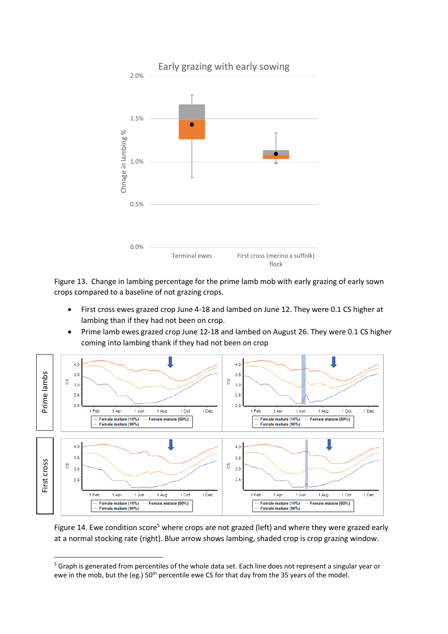

Figure 13. Change in lambing percentage for the prime lamb mob with early grazing of early sown crops compared to a baseline of not grazing crops.

- First cross ewes grazed crop June 4-18 and lambed on June 12. They were 0.1 CS higher at lambing than if they had not been on crop.
- Prime lamb ewes grazed crop June 12-18 and lambed on August 26. They were 0.1 CS higher coming into lambing thank if they had not been on crop



Figure 14. Ewe condition score<sup>5</sup> where crops are not grazed (left) and where they were grazed early at a normal stocking rate (right). Blue arrow shows lambing, shaded crop is crop grazing window.

**.** 

<sup>&</sup>lt;sup>5</sup> Graph is generated from percentiles of the whole data set. Each line does not represent a singular year or ewe in the mob, but the (eg.) 50<sup>th</sup> percentile ewe CS for that day from the 35 years of the model.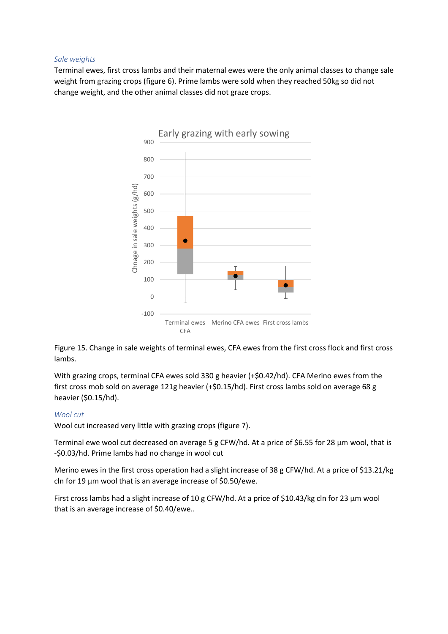#### *Sale weights*

Terminal ewes, first cross lambs and their maternal ewes were the only animal classes to change sale weight from grazing crops (figure 6). Prime lambs were sold when they reached 50kg so did not change weight, and the other animal classes did not graze crops.



Figure 15. Change in sale weights of terminal ewes, CFA ewes from the first cross flock and first cross lambs.

With grazing crops, terminal CFA ewes sold 330 g heavier (+\$0.42/hd). CFA Merino ewes from the first cross mob sold on average 121g heavier (+\$0.15/hd). First cross lambs sold on average 68 g heavier (\$0.15/hd).

#### *Wool cut*

Wool cut increased very little with grazing crops (figure 7).

Terminal ewe wool cut decreased on average 5 g CFW/hd. At a price of \$6.55 for 28 μm wool, that is -\$0.03/hd. Prime lambs had no change in wool cut

Merino ewes in the first cross operation had a slight increase of 38 g CFW/hd. At a price of \$13.21/kg cln for 19 μm wool that is an average increase of \$0.50/ewe.

First cross lambs had a slight increase of 10 g CFW/hd. At a price of \$10.43/kg cln for 23 μm wool that is an average increase of \$0.40/ewe..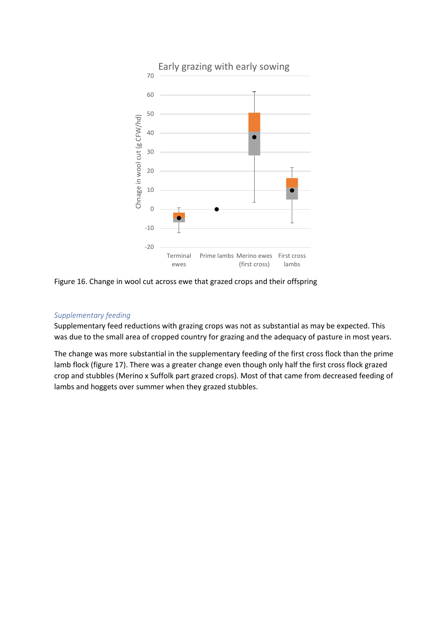

Figure 16. Change in wool cut across ewe that grazed crops and their offspring

### *Supplementary feeding*

Supplementary feed reductions with grazing crops was not as substantial as may be expected. This was due to the small area of cropped country for grazing and the adequacy of pasture in most years.

The change was more substantial in the supplementary feeding of the first cross flock than the prime lamb flock (figure 17). There was a greater change even though only half the first cross flock grazed crop and stubbles (Merino x Suffolk part grazed crops). Most of that came from decreased feeding of lambs and hoggets over summer when they grazed stubbles.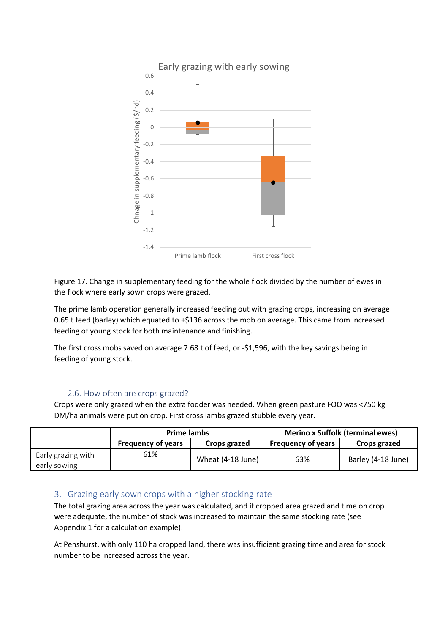

Figure 17. Change in supplementary feeding for the whole flock divided by the number of ewes in the flock where early sown crops were grazed.

The prime lamb operation generally increased feeding out with grazing crops, increasing on average 0.65 t feed (barley) which equated to +\$136 across the mob on average. This came from increased feeding of young stock for both maintenance and finishing.

The first cross mobs saved on average 7.68 t of feed, or -\$1,596, with the key savings being in feeding of young stock.

### 2.6. How often are crops grazed?

Crops were only grazed when the extra fodder was needed. When green pasture FOO was <750 kg DM/ha animals were put on crop. First cross lambs grazed stubble every year.

|                                    | <b>Prime lambs</b>        |                   | <b>Merino x Suffolk (terminal ewes)</b> |                    |
|------------------------------------|---------------------------|-------------------|-----------------------------------------|--------------------|
|                                    | <b>Frequency of years</b> | Crops grazed      | <b>Frequency of years</b>               | Crops grazed       |
| Early grazing with<br>early sowing | 61%                       | Wheat (4-18 June) | 63%                                     | Barley (4-18 June) |

### 3. Grazing early sown crops with a higher stocking rate

The total grazing area across the year was calculated, and if cropped area grazed and time on crop were adequate, the number of stock was increased to maintain the same stocking rate (see Appendix 1 for a calculation example).

At Penshurst, with only 110 ha cropped land, there was insufficient grazing time and area for stock number to be increased across the year.